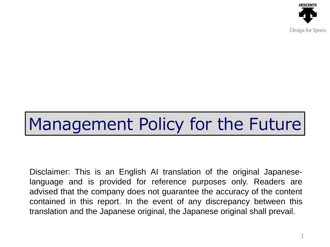

Disclaimer: This is an English AI translation of the original Japaneselanguage and is provided for reference purposes only. Readers are advised that the company does not guarantee the accuracy of the content contained in this report. In the event of any discrepancy between this translation and the Japanese original, the Japanese original shall prevail.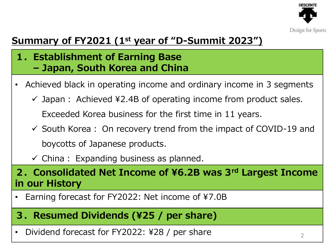

### **Summary of FY2021 (1st year of "D-Summit 2023")**

- **1.Establishment of Earning Base – Japan, South Korea and China**
- Achieved black in operating income and ordinary income in 3 segments
	- $\checkmark$  Japan: Achieved ¥2.4B of operating income from product sales. Exceeded Korea business for the first time in 11 years.
	- $\checkmark$  South Korea: On recovery trend from the impact of COVID-19 and boycotts of Japanese products.
	- $\checkmark$  China : Expanding business as planned.

**2.Consolidated Net Income of ¥6.2B was 3rd Largest Income in our History**

Earning forecast for FY2022: Net income of ¥7.0B

### **3.Resumed Dividends (¥25 / per share)**

• Dividend forecast for FY2022: ¥28 / per share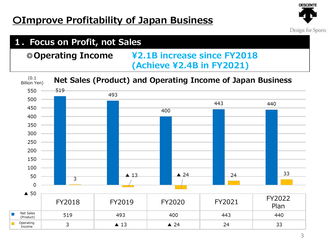Income



#### **1.Focus on Profit, not Sales ◎Operating Income ¥2.1B increase since FY2018 (Achieve ¥2.4B in FY2021)** (0.1 **Net Sales (Product) and Operating Income of Japan Business**Billion Yen) 550 519 493 500 443 440 450 400 400 350 300 250 200 150 100 33  $\triangle$  24 24  $\triangle$  13 50  $\overline{3}$  $\Omega$  $\triangle$  50 FY2018 FY2019 FY2020 FY2021 FY2022 Plan Net Sales 493  $400$ 519 443 440 (Product) Operating 3  $\blacktriangle$  13  $\triangle$  24 24 33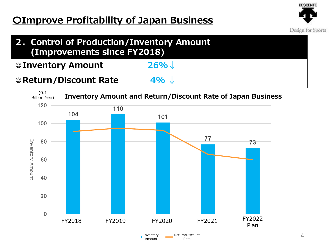

| 2. Control of Production/Inventory Amount<br>(Improvements since FY2018) |         |  |
|--------------------------------------------------------------------------|---------|--|
| © Inventory Amount                                                       | $26\%$  |  |
| © Return/Discount Rate                                                   | $4\%$ J |  |

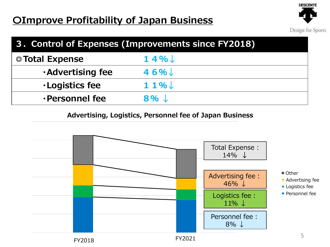

| 3. Control of Expenses (Improvements since FY2018) |                    |  |
|----------------------------------------------------|--------------------|--|
| ◎ Total Expense                                    | $14\%$             |  |
| <b>Advertising fee</b>                             | $46\%$             |  |
| <b>·Logistics fee</b>                              | $11\%$             |  |
| ·Personnel fee                                     | $8\%$ $\downarrow$ |  |

**Advertising, Logistics, Personnel fee of Japan Business**

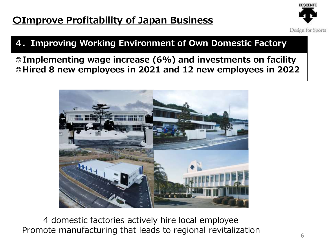

### **4.Improving Working Environment of Own Domestic Factory**

**◎Implementing wage increase (6%) and investments on facility ◎Hired 8 new employees in 2021 and 12 new employees in 2022**



4 domestic factories actively hire local employee Promote manufacturing that leads to regional revitalization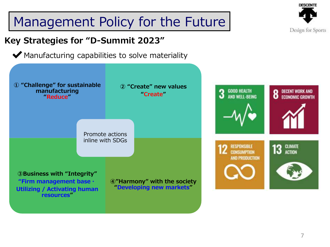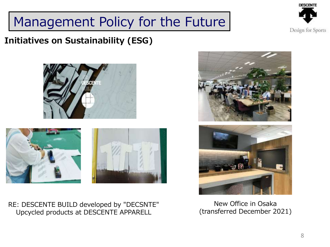

#### **Initiatives on Sustainability (ESG)**





RE: DESCENTE BUILD developed by "DECSNTE" Upcycled products at DESCENTE APPARELL





New Office in Osaka (transferred December 2021)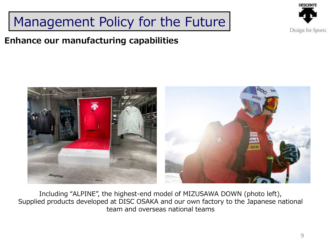### **Enhance our manufacturing capabilities**





Including "ALPINE", the highest-end model of MIZUSAWA DOWN (photo left), Supplied products developed at DISC OSAKA and our own factory to the Japanese national team and overseas national teams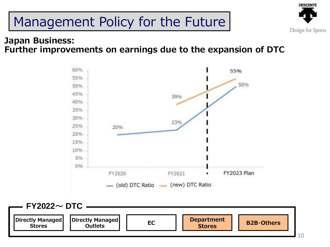

#### **Japan Business: Further improvements on earnings due to the expansion of DTC**